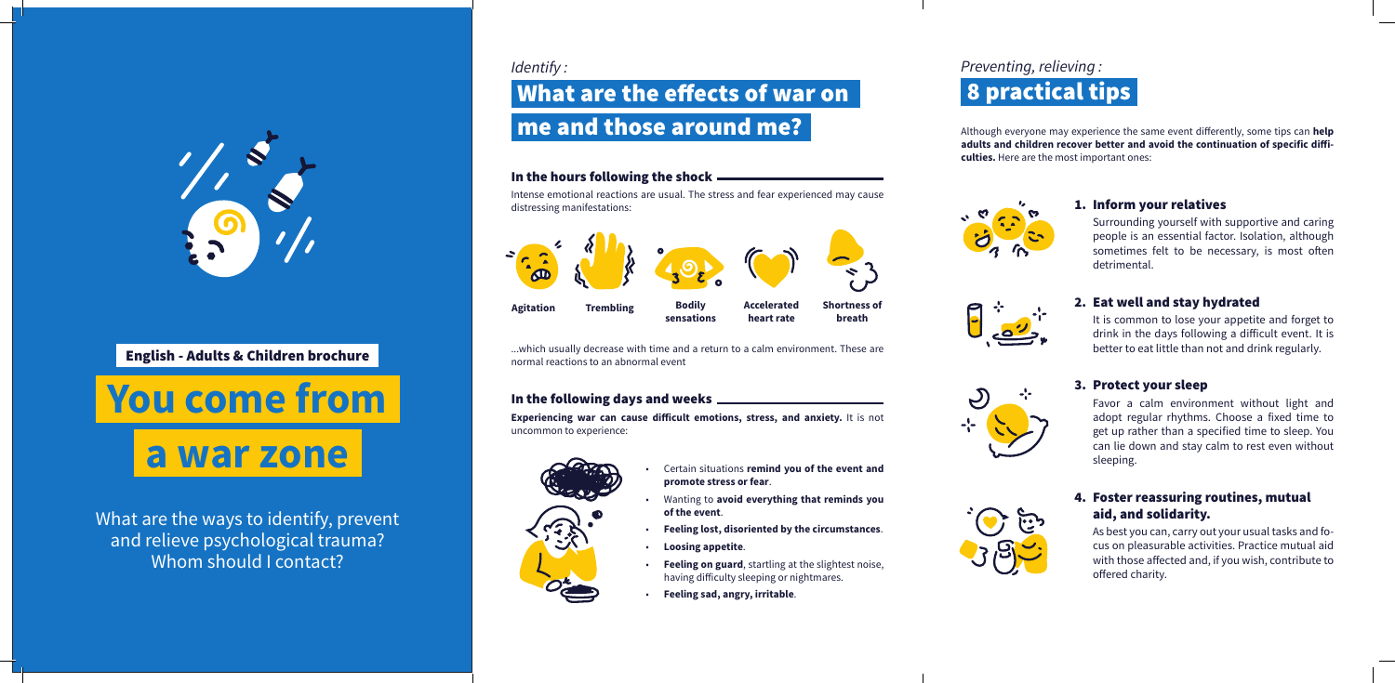*Identify :*

Although everyone may experience the same event differently, some tips can **help adults and children recover better and avoid the continuation of specific difficulties.** Here are the most important ones:



What are the ways to identify, prevent and relieve psychological trauma? Whom should I contact?

### 1. Inform your relatives

Surrounding yourself with supportive and caring people is an essential factor. Isolation, although sometimes felt to be necessary, is most often detrimental.



#### 2. Eat well and stay hydrated

It is common to lose your appetite and forget to drink in the days following a difficult event. It is better to eat little than not and drink regularly.



#### 3. Protect your sleep

Favor a calm environment without light and adopt regular rhythms. Choose a fixed time to get up rather than a specified time to sleep. You can lie down and stay calm to rest even without sleeping.



### 4. Foster reassuring routines, mutual aid, and solidarity.

As best you can, carry out your usual tasks and focus on pleasurable activities. Practice mutual aid with those affected and, if you wish, contribute to offered charity.



#### In the hours following the shock

Intense emotional reactions are usual. The stress and fear experienced may cause distressing manifestations:

- Certain situations **remind you of the event and promote stress or fear**.
- Wanting to **avoid everything that reminds you of the event**.
- **Feeling lost, disoriented by the circumstances**.
- **Loosing appetite**.
- **Feeling on guard**, startling at the slightest noise, having difficulty sleeping or nightmares.
- **Feeling sad, angry, irritable**.

# me and those around me? What are the effects of war on

...which usually decrease with time and a return to a calm environment. These are normal reactions to an abnormal event

#### In the following days and weeks

**Experiencing war can cause difficult emotions, stress, and anxiety.** It is not uncommon to experience:



## 8 practical tips *Preventing, relieving :*

# **You come from a war zone**



English - Adults & Children brochure